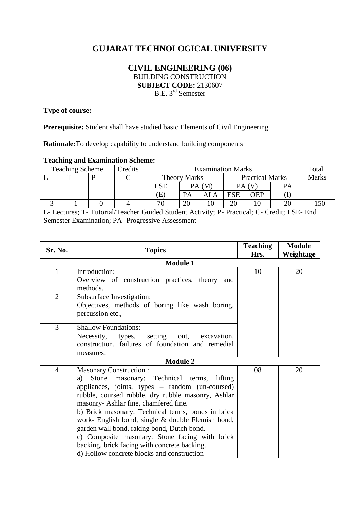# **GUJARAT TECHNOLOGICAL UNIVERSITY**

## **CIVIL ENGINEERING (06)** BUILDING CONSTRUCTION **SUBJECT CODE:** 2130607 B.E. 3<sup>rd</sup> Semester

# **Type of course:**

**Prerequisite:** Student shall have studied basic Elements of Civil Engineering

**Rationale:**To develop capability to understand building components

#### **Teaching and Examination Scheme:**

| <b>Teaching Scheme</b> |              |  | Credits | <b>Examination Marks</b> |    |                        |          |            |              | Total |
|------------------------|--------------|--|---------|--------------------------|----|------------------------|----------|------------|--------------|-------|
|                        | $\mathbf{r}$ |  |         | <b>Theory Marks</b>      |    | <b>Practical Marks</b> |          |            | <b>Marks</b> |       |
|                        |              |  |         | <b>ESE</b>               |    | PA(M)                  |          | PA (V      | PА           |       |
|                        |              |  |         | (E)                      | PA |                        | ESE      | <b>OEP</b> |              |       |
|                        |              |  |         | пr                       | 20 |                        | oc<br>∠∪ |            |              |       |

L- Lectures; T- Tutorial/Teacher Guided Student Activity; P- Practical; C- Credit; ESE- End Semester Examination; PA- Progressive Assessment

| Sr. No.        | <b>Topics</b>                                                                                                                                                                                                                                                                                                                                                                                                                                                                                                                                 | <b>Teaching</b><br>Hrs. | <b>Module</b><br>Weightage |
|----------------|-----------------------------------------------------------------------------------------------------------------------------------------------------------------------------------------------------------------------------------------------------------------------------------------------------------------------------------------------------------------------------------------------------------------------------------------------------------------------------------------------------------------------------------------------|-------------------------|----------------------------|
|                | <b>Module 1</b>                                                                                                                                                                                                                                                                                                                                                                                                                                                                                                                               |                         |                            |
| $\mathbf{1}$   | Introduction:<br>Overview of construction practices, theory and<br>methods.                                                                                                                                                                                                                                                                                                                                                                                                                                                                   | 10                      | 20                         |
| $\overline{2}$ | Subsurface Investigation:<br>Objectives, methods of boring like wash boring,<br>percussion etc.,                                                                                                                                                                                                                                                                                                                                                                                                                                              |                         |                            |
| 3              | <b>Shallow Foundations:</b><br>Necessity,<br>types, setting out, excavation,<br>construction, failures of foundation and remedial<br>measures.                                                                                                                                                                                                                                                                                                                                                                                                |                         |                            |
|                | <b>Module 2</b>                                                                                                                                                                                                                                                                                                                                                                                                                                                                                                                               |                         |                            |
| $\overline{4}$ | <b>Masonary Construction:</b><br>Stone<br>masonary: Technical terms, lifting<br>a)<br>appliances, joints, types - random (un-coursed)<br>rubble, coursed rubble, dry rubble masonry, Ashlar<br>masonry- Ashlar fine, chamfered fine.<br>b) Brick masonary: Technical terms, bonds in brick<br>work- English bond, single & double Flemish bond,<br>garden wall bond, raking bond, Dutch bond.<br>c) Composite masonary: Stone facing with brick<br>backing, brick facing with concrete backing.<br>d) Hollow concrete blocks and construction | 08                      | 20                         |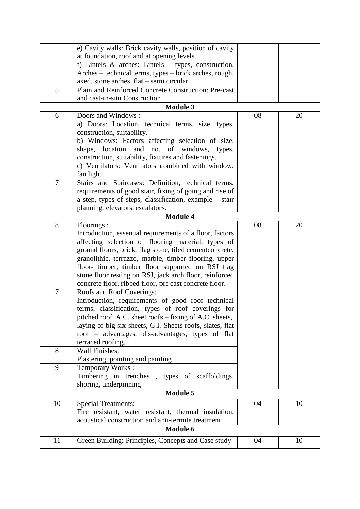|                | e) Cavity walls: Brick cavity walls, position of cavity   |    |    |
|----------------|-----------------------------------------------------------|----|----|
|                | at foundation, roof and at opening levels.                |    |    |
|                | f) Lintels $\&$ arches: Lintels – types, construction.    |    |    |
|                | Arches – technical terms, types – brick arches, rough,    |    |    |
|                | axed, stone arches, flat - semi circular.                 |    |    |
| 5              | Plain and Reinforced Concrete Construction: Pre-cast      |    |    |
|                | and cast-in-situ Construction                             |    |    |
|                | <b>Module 3</b>                                           |    |    |
| 6              | Doors and Windows:                                        | 08 | 20 |
|                | a) Doors: Location, technical terms, size, types,         |    |    |
|                | construction, suitability.                                |    |    |
|                | b) Windows: Factors affecting selection of size,          |    |    |
|                | shape, location and no. of windows, types,                |    |    |
|                | construction, suitability, fixtures and fastenings.       |    |    |
|                | c) Ventilators: Ventilators combined with window,         |    |    |
|                | fan light.                                                |    |    |
| $\overline{7}$ | Stairs and Staircases: Definition, technical terms,       |    |    |
|                | requirements of good stair, fixing of going and rise of   |    |    |
|                | a step, types of steps, classification, example – stair   |    |    |
|                | planning, elevators, escalators.                          |    |    |
|                | <b>Module 4</b>                                           |    |    |
| 8              | Floorings:                                                | 08 | 20 |
|                | Introduction, essential requirements of a floor, factors  |    |    |
|                | affecting selection of flooring material, types of        |    |    |
|                | ground floors, brick, flag stone, tiled cementconcrete,   |    |    |
|                | granolithic, terrazzo, marble, timber flooring, upper     |    |    |
|                | floor- timber, timber floor supported on RSJ flag         |    |    |
|                | stone floor resting on RSJ, jack arch floor, reinforced   |    |    |
|                | concrete floor, ribbed floor, pre cast concrete floor.    |    |    |
| $\overline{7}$ | Roofs and Roof Coverings:                                 |    |    |
|                | Introduction, requirements of good roof technical         |    |    |
|                | terms, classification, types of roof coverings for        |    |    |
|                | pitched roof. A.C. sheet roofs - fixing of A.C. sheets,   |    |    |
|                | laying of big six sheets, G.I. Sheets roofs, slates, flat |    |    |
|                | roof - advantages, dis-advantages, types of flat          |    |    |
|                | terraced roofing.                                         |    |    |
| 8              | Wall Finishes:                                            |    |    |
|                | Plastering, pointing and painting                         |    |    |
| 9              | Temporary Works:                                          |    |    |
|                | Timbering in trenches, types of scaffoldings,             |    |    |
|                | shoring, underpinning                                     |    |    |
|                | <b>Module 5</b>                                           |    |    |
| 10             | <b>Special Treatments:</b>                                | 04 | 10 |
|                | Fire resistant, water resistant, thermal insulation,      |    |    |
|                | acoustical construction and anti-termite treatment.       |    |    |
|                | Module 6                                                  |    |    |
| 11             | Green Building: Principles, Concepts and Case study       | 04 | 10 |